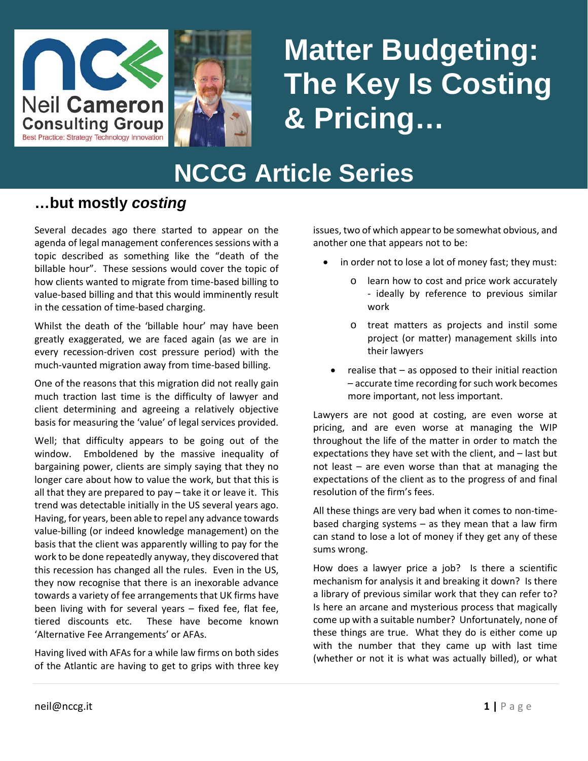



# **NCCG Article Series Matter Budgeting: The Key Is Costing & Pricing…**

# **NCCG Article Series**

#### **…but mostly** *costing*

Several decades ago there started to appear on the agenda of legal management conferences sessions with a topic described as something like the "death of the billable hour". These sessions would cover the topic of how clients wanted to migrate from time-based billing to value-based billing and that this would imminently result in the cessation of time-based charging.

Whilst the death of the 'billable hour' may have been greatly exaggerated, we are faced again (as we are in every recession-driven cost pressure period) with the much-vaunted migration away from time-based billing.

One of the reasons that this migration did not really gain much traction last time is the difficulty of lawyer and client determining and agreeing a relatively objective basis for measuring the 'value' of legal services provided.

Well; that difficulty appears to be going out of the window. Emboldened by the massive inequality of bargaining power, clients are simply saying that they no longer care about how to value the work, but that this is all that they are prepared to pay – take it or leave it. This trend was detectable initially in the US several years ago. Having, for years, been able to repel any advance towards value-billing (or indeed knowledge management) on the basis that the client was apparently willing to pay for the work to be done repeatedly anyway, they discovered that this recession has changed all the rules. Even in the US, they now recognise that there is an inexorable advance towards a variety of fee arrangements that UK firms have been living with for several years – fixed fee, flat fee, tiered discounts etc. These have become known 'Alternative Fee Arrangements' or AFAs.

Having lived with AFAs for a while law firms on both sides of the Atlantic are having to get to grips with three key issues, two of which appear to be somewhat obvious, and another one that appears not to be:

- in order not to lose a lot of money fast; they must:
	- o learn how to cost and price work accurately - ideally by reference to previous similar work
	- o treat matters as projects and instil some project (or matter) management skills into their lawyers
- realise that  $-$  as opposed to their initial reaction – accurate time recording for such work becomes more important, not less important.

Lawyers are not good at costing, are even worse at pricing, and are even worse at managing the WIP throughout the life of the matter in order to match the expectations they have set with the client, and – last but not least – are even worse than that at managing the expectations of the client as to the progress of and final resolution of the firm's fees.

All these things are very bad when it comes to non-timebased charging systems – as they mean that a law firm can stand to lose a lot of money if they get any of these sums wrong.

How does a lawyer price a job? Is there a scientific mechanism for analysis it and breaking it down? Is there a library of previous similar work that they can refer to? Is here an arcane and mysterious process that magically come up with a suitable number? Unfortunately, none of these things are true. What they do is either come up with the number that they came up with last time (whether or not it is what was actually billed), or what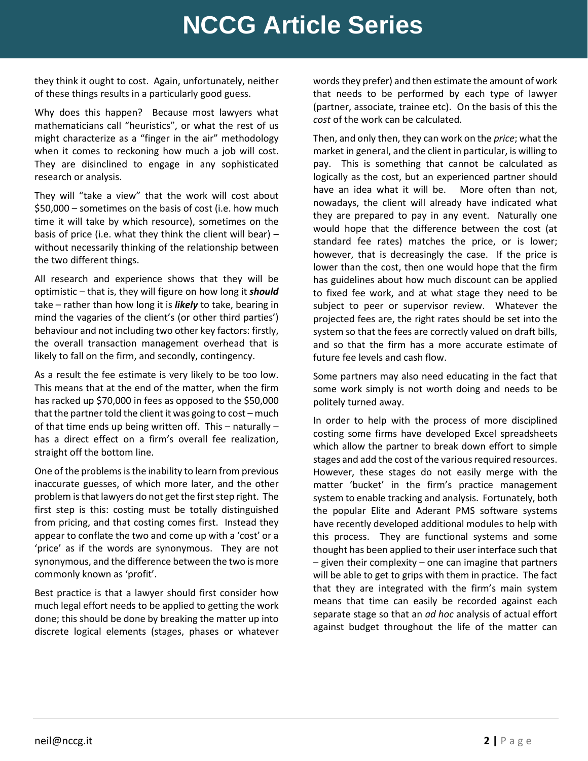## **NCCG Article Series**

they think it ought to cost. Again, unfortunately, neither of these things results in a particularly good guess.

Why does this happen? Because most lawyers what mathematicians call "heuristics", or what the rest of us might characterize as a "finger in the air" methodology when it comes to reckoning how much a job will cost. They are disinclined to engage in any sophisticated research or analysis.

They will "take a view" that the work will cost about \$50,000 – sometimes on the basis of cost (i.e. how much time it will take by which resource), sometimes on the basis of price (i.e. what they think the client will bear)  $$ without necessarily thinking of the relationship between the two different things.

All research and experience shows that they will be optimistic – that is, they will figure on how long it *should* take – rather than how long it is *likely* to take, bearing in mind the vagaries of the client's (or other third parties') behaviour and not including two other key factors: firstly, the overall transaction management overhead that is likely to fall on the firm, and secondly, contingency.

As a result the fee estimate is very likely to be too low. This means that at the end of the matter, when the firm has racked up \$70,000 in fees as opposed to the \$50,000 that the partner told the client it was going to cost – much of that time ends up being written off. This – naturally – has a direct effect on a firm's overall fee realization, straight off the bottom line.

One of the problems is the inability to learn from previous inaccurate guesses, of which more later, and the other problem is that lawyers do not get the first step right. The first step is this: costing must be totally distinguished from pricing, and that costing comes first. Instead they appear to conflate the two and come up with a 'cost' or a 'price' as if the words are synonymous. They are not synonymous, and the difference between the two is more commonly known as 'profit'.

Best practice is that a lawyer should first consider how much legal effort needs to be applied to getting the work done; this should be done by breaking the matter up into discrete logical elements (stages, phases or whatever

words they prefer) and then estimate the amount of work that needs to be performed by each type of lawyer (partner, associate, trainee etc). On the basis of this the *cost* of the work can be calculated.

Then, and only then, they can work on the *price*; what the market in general, and the client in particular, is willing to pay. This is something that cannot be calculated as logically as the cost, but an experienced partner should have an idea what it will be. More often than not, nowadays, the client will already have indicated what they are prepared to pay in any event. Naturally one would hope that the difference between the cost (at standard fee rates) matches the price, or is lower; however, that is decreasingly the case. If the price is lower than the cost, then one would hope that the firm has guidelines about how much discount can be applied to fixed fee work, and at what stage they need to be subject to peer or supervisor review. Whatever the projected fees are, the right rates should be set into the system so that the fees are correctly valued on draft bills, and so that the firm has a more accurate estimate of future fee levels and cash flow.

Some partners may also need educating in the fact that some work simply is not worth doing and needs to be politely turned away.

In order to help with the process of more disciplined costing some firms have developed Excel spreadsheets which allow the partner to break down effort to simple stages and add the cost of the various required resources. However, these stages do not easily merge with the matter 'bucket' in the firm's practice management system to enable tracking and analysis. Fortunately, both the popular Elite and Aderant PMS software systems have recently developed additional modules to help with this process. They are functional systems and some thought has been applied to their user interface such that  $-$  given their complexity  $-$  one can imagine that partners will be able to get to grips with them in practice. The fact that they are integrated with the firm's main system means that time can easily be recorded against each separate stage so that an *ad hoc* analysis of actual effort against budget throughout the life of the matter can